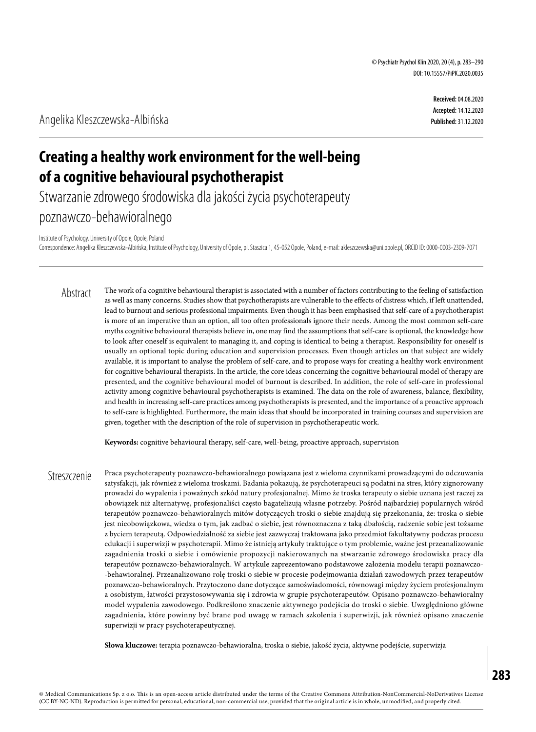**Received:** 04.08.2020 **Accepted:** 14.12.2020 **Published:** 31.12.2020

# **Creating a healthy work environment for the well-being of a cognitive behavioural psychotherapist**

Stwarzanie zdrowego środowiska dla jakości życia psychoterapeuty poznawczo-behawioralnego

Institute of Psychology, University of Opole, Opole, Poland

Correspondence: Angelika Kleszczewska-Albińska, Institute of Psychology, University of Opole, pl. Staszica 1, 45-052 Opole, Poland, e-mail: akleszczewska@uni.opole.pl, ORCID ID: 0000-0003-2309-7071

The work of a cognitive behavioural therapist is associated with a number of factors contributing to the feeling of satisfaction as well as many concerns. Studies show that psychotherapists are vulnerable to the effects of distress which, if left unattended, lead to burnout and serious professional impairments. Even though it has been emphasised that self-care of a psychotherapist is more of an imperative than an option, all too often professionals ignore their needs. Among the most common self-care myths cognitive behavioural therapists believe in, one may find the assumptions that self-care is optional, the knowledge how to look after oneself is equivalent to managing it, and coping is identical to being a therapist. Responsibility for oneself is usually an optional topic during education and supervision processes. Even though articles on that subject are widely available, it is important to analyse the problem of self-care, and to propose ways for creating a healthy work environment for cognitive behavioural therapists. In the article, the core ideas concerning the cognitive behavioural model of therapy are presented, and the cognitive behavioural model of burnout is described. In addition, the role of self-care in professional activity among cognitive behavioural psychotherapists is examined. The data on the role of awareness, balance, flexibility, and health in increasing self-care practices among psychotherapists is presented, and the importance of a proactive approach to self-care is highlighted. Furthermore, the main ideas that should be incorporated in training courses and supervision are given, together with the description of the role of supervision in psychotherapeutic work. Abstract

**Keywords:** cognitive behavioural therapy, self-care, well-being, proactive approach, supervision

Praca psychoterapeuty poznawczo-behawioralnego powiązana jest z wieloma czynnikami prowadzącymi do odczuwania satysfakcji, jak również z wieloma troskami. Badania pokazują, że psychoterapeuci są podatni na stres, który zignorowany prowadzi do wypalenia i poważnych szkód natury profesjonalnej. Mimo że troska terapeuty o siebie uznana jest raczej za obowiązek niż alternatywę, profesjonaliści często bagatelizują własne potrzeby. Pośród najbardziej popularnych wśród terapeutów poznawczo-behawioralnych mitów dotyczących troski o siebie znajdują się przekonania, że: troska o siebie jest nieobowiązkowa, wiedza o tym, jak zadbać o siebie, jest równoznaczna z taką dbałością, radzenie sobie jest tożsame z byciem terapeutą. Odpowiedzialność za siebie jest zazwyczaj traktowana jako przedmiot fakultatywny podczas procesu edukacji i superwizji w psychoterapii. Mimo że istnieją artykuły traktujące o tym problemie, ważne jest przeanalizowanie zagadnienia troski o siebie i omówienie propozycji nakierowanych na stwarzanie zdrowego środowiska pracy dla terapeutów poznawczo-behawioralnych. W artykule zaprezentowano podstawowe założenia modelu terapii poznawczo- -behawioralnej. Przeanalizowano rolę troski o siebie w procesie podejmowania działań zawodowych przez terapeutów poznawczo-behawioralnych. Przytoczono dane dotyczące samoświadomości, równowagi między życiem profesjonalnym a osobistym, łatwości przystosowywania się i zdrowia w grupie psychoterapeutów. Opisano poznawczo-behawioralny model wypalenia zawodowego. Podkreślono znaczenie aktywnego podejścia do troski o siebie. Uwzględniono główne zagadnienia, które powinny być brane pod uwagę w ramach szkolenia i superwizji, jak również opisano znaczenie superwizji w pracy psychoterapeutycznej. **Streszczenie** 

**Słowa kluczowe:** terapia poznawczo-behawioralna, troska o siebie, jakość życia, aktywne podejście, superwizja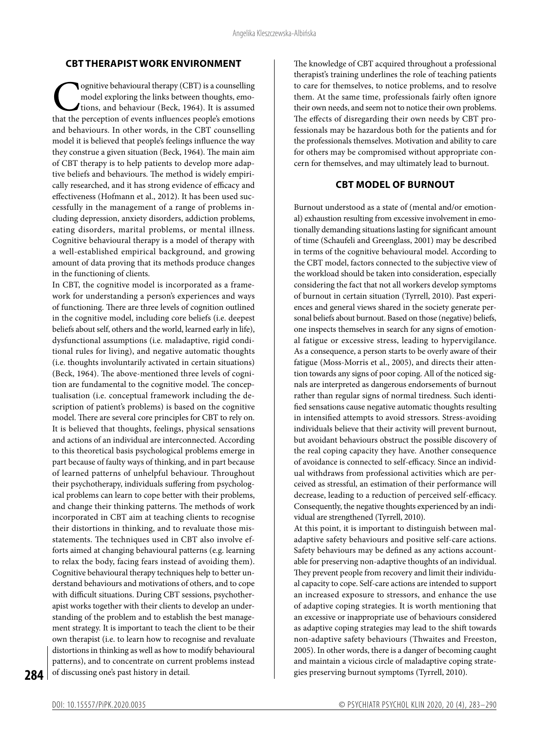#### **CBT THERAPIST WORK ENVIRONMENT**

**Cognitive behavioural therapy (CBT) is a counselling** model exploring the links between thoughts, emotions, and behaviour (Beck, 1964). It is assumed that the perception of events influences people's emotions model exploring the links between thoughts, emotions, and behaviour (Beck, 1964). It is assumed that the perception of events influences people's emotions and behaviours. In other words, in the CBT counselling model it is believed that people's feelings influence the way they construe a given situation (Beck, 1964). The main aim of CBT therapy is to help patients to develop more adaptive beliefs and behaviours. The method is widely empirically researched, and it has strong evidence of efficacy and effectiveness (Hofmann et al., 2012). It has been used successfully in the management of a range of problems including depression, anxiety disorders, addiction problems, eating disorders, marital problems, or mental illness. Cognitive behavioural therapy is a model of therapy with a well-established empirical background, and growing amount of data proving that its methods produce changes in the functioning of clients.

In CBT, the cognitive model is incorporated as a framework for understanding a person's experiences and ways of functioning. There are three levels of cognition outlined in the cognitive model, including core beliefs (i.e. deepest beliefs about self, others and the world, learned early in life), dysfunctional assumptions (i.e. maladaptive, rigid conditional rules for living), and negative automatic thoughts (i.e. thoughts involuntarily activated in certain situations) (Beck, 1964). The above-mentioned three levels of cognition are fundamental to the cognitive model. The conceptualisation (i.e. conceptual framework including the description of patient's problems) is based on the cognitive model. There are several core principles for CBT to rely on. It is believed that thoughts, feelings, physical sensations and actions of an individual are interconnected. According to this theoretical basis psychological problems emerge in part because of faulty ways of thinking, and in part because of learned patterns of unhelpful behaviour. Throughout their psychotherapy, individuals suffering from psychological problems can learn to cope better with their problems, and change their thinking patterns. The methods of work incorporated in CBT aim at teaching clients to recognise their distortions in thinking, and to revaluate those misstatements. The techniques used in CBT also involve efforts aimed at changing behavioural patterns (e.g. learning to relax the body, facing fears instead of avoiding them). Cognitive behavioural therapy techniques help to better understand behaviours and motivations of others, and to cope with difficult situations. During CBT sessions, psychotherapist works together with their clients to develop an understanding of the problem and to establish the best management strategy. It is important to teach the client to be their own therapist (i.e. to learn how to recognise and revaluate distortions in thinking as well as how to modify behavioural patterns), and to concentrate on current problems instead of discussing one's past history in detail.

The knowledge of CBT acquired throughout a professional therapist's training underlines the role of teaching patients to care for themselves, to notice problems, and to resolve them. At the same time, professionals fairly often ignore their own needs, and seem not to notice their own problems. The effects of disregarding their own needs by CBT professionals may be hazardous both for the patients and for the professionals themselves. Motivation and ability to care for others may be compromised without appropriate concern for themselves, and may ultimately lead to burnout.

#### **CBT MODEL OF BURNOUT**

Burnout understood as a state of (mental and/or emotional) exhaustion resulting from excessive involvement in emotionally demanding situations lasting for significant amount of time (Schaufeli and Greenglass, 2001) may be described in terms of the cognitive behavioural model. According to the CBT model, factors connected to the subjective view of the workload should be taken into consideration, especially considering the fact that not all workers develop symptoms of burnout in certain situation (Tyrrell, 2010). Past experiences and general views shared in the society generate personal beliefs about burnout. Based on those (negative) beliefs, one inspects themselves in search for any signs of emotional fatigue or excessive stress, leading to hypervigilance. As a consequence, a person starts to be overly aware of their fatigue (Moss-Morris et al., 2005), and directs their attention towards any signs of poor coping. All of the noticed signals are interpreted as dangerous endorsements of burnout rather than regular signs of normal tiredness. Such identified sensations cause negative automatic thoughts resulting in intensified attempts to avoid stressors. Stress-avoiding individuals believe that their activity will prevent burnout, but avoidant behaviours obstruct the possible discovery of the real coping capacity they have. Another consequence of avoidance is connected to self-efficacy. Since an individual withdraws from professional activities which are perceived as stressful, an estimation of their performance will decrease, leading to a reduction of perceived self-efficacy. Consequently, the negative thoughts experienced by an individual are strengthened (Tyrrell, 2010).

At this point, it is important to distinguish between maladaptive safety behaviours and positive self-care actions. Safety behaviours may be defined as any actions accountable for preserving non-adaptive thoughts of an individual. They prevent people from recovery and limit their individual capacity to cope. Self-care actions are intended to support an increased exposure to stressors, and enhance the use of adaptive coping strategies. It is worth mentioning that an excessive or inappropriate use of behaviours considered as adaptive coping strategies may lead to the shift towards non-adaptive safety behaviours (Thwaites and Freeston, 2005). In other words, there is a danger of becoming caught and maintain a vicious circle of maladaptive coping strategies preserving burnout symptoms (Tyrrell, 2010).

**284**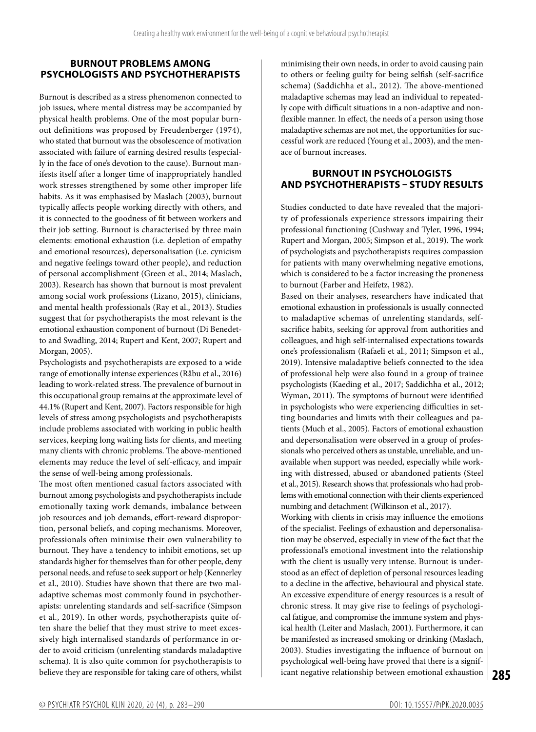## **BURNOUT PROBLEMS AMONG PSYCHOLOGISTS AND PSYCHOTHERAPISTS**

Burnout is described as a stress phenomenon connected to job issues, where mental distress may be accompanied by physical health problems. One of the most popular burnout definitions was proposed by Freudenberger (1974), who stated that burnout was the obsolescence of motivation associated with failure of earning desired results (especially in the face of one's devotion to the cause). Burnout manifests itself after a longer time of inappropriately handled work stresses strengthened by some other improper life habits. As it was emphasised by Maslach (2003), burnout typically affects people working directly with others, and it is connected to the goodness of fit between workers and their job setting. Burnout is characterised by three main elements: emotional exhaustion (i.e. depletion of empathy and emotional resources), depersonalisation (i.e. cynicism and negative feelings toward other people), and reduction of personal accomplishment (Green et al., 2014; Maslach, 2003). Research has shown that burnout is most prevalent among social work professions (Lizano, 2015), clinicians, and mental health professionals (Ray et al., 2013). Studies suggest that for psychotherapists the most relevant is the emotional exhaustion component of burnout (Di Benedetto and Swadling, 2014; Rupert and Kent, 2007; Rupert and Morgan, 2005).

Psychologists and psychotherapists are exposed to a wide range of emotionally intense experiences (Råbu et al., 2016) leading to work-related stress. The prevalence of burnout in this occupational group remains at the approximate level of 44.1% (Rupert and Kent, 2007). Factors responsible for high levels of stress among psychologists and psychotherapists include problems associated with working in public health services, keeping long waiting lists for clients, and meeting many clients with chronic problems. The above-mentioned elements may reduce the level of self-efficacy, and impair the sense of well-being among professionals.

The most often mentioned casual factors associated with burnout among psychologists and psychotherapists include emotionally taxing work demands, imbalance between job resources and job demands, effort-reward disproportion, personal beliefs, and coping mechanisms. Moreover, professionals often minimise their own vulnerability to burnout. They have a tendency to inhibit emotions, set up standards higher for themselves than for other people, deny personal needs, and refuse to seek support or help (Kennerley et al., 2010). Studies have shown that there are two maladaptive schemas most commonly found in psychotherapists: unrelenting standards and self-sacrifice (Simpson et al., 2019). In other words, psychotherapists quite often share the belief that they must strive to meet excessively high internalised standards of performance in order to avoid criticism (unrelenting standards maladaptive schema). It is also quite common for psychotherapists to believe they are responsible for taking care of others, whilst

minimising their own needs, in order to avoid causing pain to others or feeling guilty for being selfish (self-sacrifice schema) (Saddichha et al., 2012). The above-mentioned maladaptive schemas may lead an individual to repeatedly cope with difficult situations in a non-adaptive and nonflexible manner. In effect, the needs of a person using those maladaptive schemas are not met, the opportunities for successful work are reduced (Young et al., 2003), and the menace of burnout increases.

## **BURNOUT IN PSYCHOLOGISTS AND PSYCHOTHERAPISTS – STUDY RESULTS**

Studies conducted to date have revealed that the majority of professionals experience stressors impairing their professional functioning (Cushway and Tyler, 1996, 1994; Rupert and Morgan, 2005; Simpson et al., 2019). The work of psychologists and psychotherapists requires compassion for patients with many overwhelming negative emotions, which is considered to be a factor increasing the proneness to burnout (Farber and Heifetz, 1982).

Based on their analyses, researchers have indicated that emotional exhaustion in professionals is usually connected to maladaptive schemas of unrelenting standards, selfsacrifice habits, seeking for approval from authorities and colleagues, and high self-internalised expectations towards one's professionalism (Rafaeli et al., 2011; Simpson et al., 2019). Intensive maladaptive beliefs connected to the idea of professional help were also found in a group of trainee psychologists (Kaeding et al., 2017; Saddichha et al., 2012; Wyman, 2011). The symptoms of burnout were identified in psychologists who were experiencing difficulties in setting boundaries and limits with their colleagues and patients (Much et al., 2005). Factors of emotional exhaustion and depersonalisation were observed in a group of professionals who perceived others as unstable, unreliable, and unavailable when support was needed, especially while working with distressed, abused or abandoned patients (Steel et al., 2015). Research shows that professionals who had problems with emotional connection with their clients experienced numbing and detachment (Wilkinson et al., 2017).

**285** icant negative relationship between emotional exhaustion Working with clients in crisis may influence the emotions of the specialist. Feelings of exhaustion and depersonalisation may be observed, especially in view of the fact that the professional's emotional investment into the relationship with the client is usually very intense. Burnout is understood as an effect of depletion of personal resources leading to a decline in the affective, behavioural and physical state. An excessive expenditure of energy resources is a result of chronic stress. It may give rise to feelings of psychological fatigue, and compromise the immune system and physical health (Leiter and Maslach, 2001). Furthermore, it can be manifested as increased smoking or drinking (Maslach, 2003). Studies investigating the influence of burnout on psychological well-being have proved that there is a signif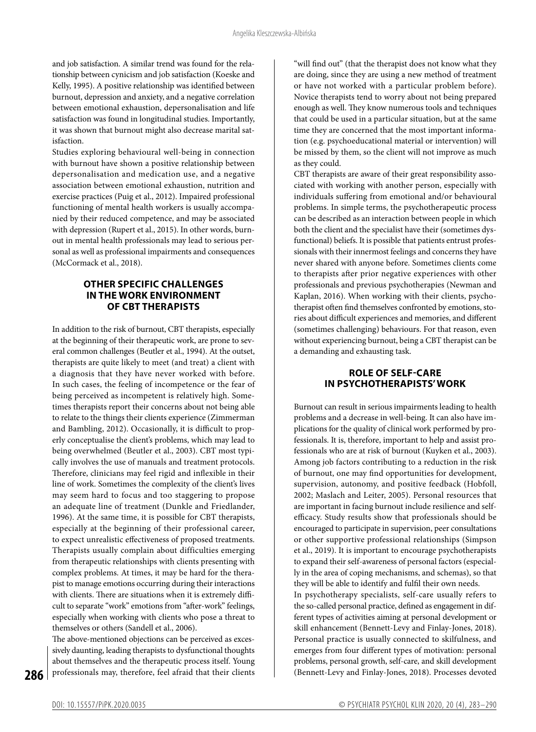and job satisfaction. A similar trend was found for the relationship between cynicism and job satisfaction (Koeske and Kelly, 1995). A positive relationship was identified between burnout, depression and anxiety, and a negative correlation between emotional exhaustion, depersonalisation and life satisfaction was found in longitudinal studies. Importantly, it was shown that burnout might also decrease marital satisfaction.

Studies exploring behavioural well-being in connection with burnout have shown a positive relationship between depersonalisation and medication use, and a negative association between emotional exhaustion, nutrition and exercise practices (Puig et al., 2012). Impaired professional functioning of mental health workers is usually accompanied by their reduced competence, and may be associated with depression (Rupert et al., 2015). In other words, burnout in mental health professionals may lead to serious personal as well as professional impairments and consequences (McCormack et al., 2018).

#### **OTHER SPECIFIC CHALLENGES IN THE WORK ENVIRONMENT OF CBT THERAPISTS**

In addition to the risk of burnout, CBT therapists, especially at the beginning of their therapeutic work, are prone to several common challenges (Beutler et al., 1994). At the outset, therapists are quite likely to meet (and treat) a client with a diagnosis that they have never worked with before. In such cases, the feeling of incompetence or the fear of being perceived as incompetent is relatively high. Sometimes therapists report their concerns about not being able to relate to the things their clients experience (Zimmerman and Bambling, 2012). Occasionally, it is difficult to properly conceptualise the client's problems, which may lead to being overwhelmed (Beutler et al., 2003). CBT most typically involves the use of manuals and treatment protocols. Therefore, clinicians may feel rigid and inflexible in their line of work. Sometimes the complexity of the client's lives may seem hard to focus and too staggering to propose an adequate line of treatment (Dunkle and Friedlander, 1996). At the same time, it is possible for CBT therapists, especially at the beginning of their professional career, to expect unrealistic effectiveness of proposed treatments. Therapists usually complain about difficulties emerging from therapeutic relationships with clients presenting with complex problems. At times, it may be hard for the therapist to manage emotions occurring during their interactions with clients. There are situations when it is extremely difficult to separate "work" emotions from "after-work" feelings, especially when working with clients who pose a threat to themselves or others (Sandell et al., 2006).

The above-mentioned objections can be perceived as excessively daunting, leading therapists to dysfunctional thoughts about themselves and the therapeutic process itself. Young professionals may, therefore, feel afraid that their clients

"will find out" (that the therapist does not know what they are doing, since they are using a new method of treatment or have not worked with a particular problem before). Novice therapists tend to worry about not being prepared enough as well. They know numerous tools and techniques that could be used in a particular situation, but at the same time they are concerned that the most important information (e.g. psychoeducational material or intervention) will be missed by them, so the client will not improve as much as they could.

CBT therapists are aware of their great responsibility associated with working with another person, especially with individuals suffering from emotional and/or behavioural problems. In simple terms, the psychotherapeutic process can be described as an interaction between people in which both the client and the specialist have their (sometimes dysfunctional) beliefs. It is possible that patients entrust professionals with their innermost feelings and concerns they have never shared with anyone before. Sometimes clients come to therapists after prior negative experiences with other professionals and previous psychotherapies (Newman and Kaplan, 2016). When working with their clients, psychotherapist often find themselves confronted by emotions, stories about difficult experiences and memories, and different (sometimes challenging) behaviours. For that reason, even without experiencing burnout, being a CBT therapist can be a demanding and exhausting task.

#### **ROLE OF SELF-CARE IN PSYCHOTHERAPISTS' WORK**

Burnout can result in serious impairments leading to health problems and a decrease in well-being. It can also have implications for the quality of clinical work performed by professionals. It is, therefore, important to help and assist professionals who are at risk of burnout (Kuyken et al., 2003). Among job factors contributing to a reduction in the risk of burnout, one may find opportunities for development, supervision, autonomy, and positive feedback (Hobfoll, 2002; Maslach and Leiter, 2005). Personal resources that are important in facing burnout include resilience and selfefficacy. Study results show that professionals should be encouraged to participate in supervision, peer consultations or other supportive professional relationships (Simpson et al., 2019). It is important to encourage psychotherapists to expand their self-awareness of personal factors (especially in the area of coping mechanisms, and schemas), so that they will be able to identify and fulfil their own needs.

In psychotherapy specialists, self-care usually refers to the so-called personal practice, defined as engagement in different types of activities aiming at personal development or skill enhancement (Bennett-Levy and Finlay-Jones, 2018). Personal practice is usually connected to skilfulness, and emerges from four different types of motivation: personal problems, personal growth, self-care, and skill development (Bennett-Levy and Finlay-Jones, 2018). Processes devoted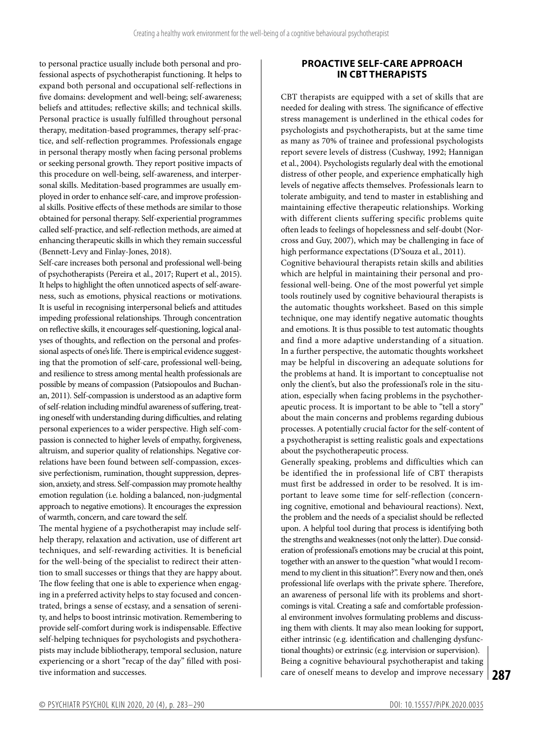to personal practice usually include both personal and professional aspects of psychotherapist functioning. It helps to expand both personal and occupational self-reflections in five domains: development and well-being; self-awareness; beliefs and attitudes; reflective skills; and technical skills. Personal practice is usually fulfilled throughout personal therapy, meditation-based programmes, therapy self-practice, and self-reflection programmes. Professionals engage in personal therapy mostly when facing personal problems or seeking personal growth. They report positive impacts of this procedure on well-being, self-awareness, and interpersonal skills. Meditation-based programmes are usually employed in order to enhance self-care, and improve professional skills. Positive effects of these methods are similar to those obtained for personal therapy. Self-experiential programmes called self-practice, and self-reflection methods, are aimed at enhancing therapeutic skills in which they remain successful (Bennett-Levy and Finlay-Jones, 2018).

Self-care increases both personal and professional well-being of psychotherapists (Pereira et al., 2017; Rupert et al., 2015). It helps to highlight the often unnoticed aspects of self-awareness, such as emotions, physical reactions or motivations. It is useful in recognising interpersonal beliefs and attitudes impeding professional relationships. Through concentration on reflective skills, it encourages self-questioning, logical analyses of thoughts, and reflection on the personal and professional aspects of one's life. There is empirical evidence suggesting that the promotion of self-care, professional well-being, and resilience to stress among mental health professionals are possible by means of compassion (Patsiopoulos and Buchanan, 2011). Self-compassion is understood as an adaptive form of self-relation including mindful awareness of suffering, treating oneself with understanding during difficulties, and relating personal experiences to a wider perspective. High self-compassion is connected to higher levels of empathy, forgiveness, altruism, and superior quality of relationships. Negative correlations have been found between self-compassion, excessive perfectionism, rumination, thought suppression, depression, anxiety, and stress. Self-compassion may promote healthy emotion regulation (i.e. holding a balanced, non-judgmental approach to negative emotions). It encourages the expression of warmth, concern, and care toward the self.

The mental hygiene of a psychotherapist may include selfhelp therapy, relaxation and activation, use of different art techniques, and self-rewarding activities. It is beneficial for the well-being of the specialist to redirect their attention to small successes or things that they are happy about. The flow feeling that one is able to experience when engaging in a preferred activity helps to stay focused and concentrated, brings a sense of ecstasy, and a sensation of serenity, and helps to boost intrinsic motivation. Remembering to provide self-comfort during work is indispensable. Effective self-helping techniques for psychologists and psychotherapists may include bibliotherapy, temporal seclusion, nature experiencing or a short "recap of the day" filled with positive information and successes.

## **PROACTIVE SELF-CARE APPROACH IN CBT THERAPISTS**

CBT therapists are equipped with a set of skills that are needed for dealing with stress. The significance of effective stress management is underlined in the ethical codes for psychologists and psychotherapists, but at the same time as many as 70% of trainee and professional psychologists report severe levels of distress (Cushway, 1992; Hannigan et al., 2004). Psychologists regularly deal with the emotional distress of other people, and experience emphatically high levels of negative affects themselves. Professionals learn to tolerate ambiguity, and tend to master in establishing and maintaining effective therapeutic relationships. Working with different clients suffering specific problems quite often leads to feelings of hopelessness and self-doubt (Norcross and Guy, 2007), which may be challenging in face of high performance expectations (D'Souza et al., 2011).

Cognitive behavioural therapists retain skills and abilities which are helpful in maintaining their personal and professional well-being. One of the most powerful yet simple tools routinely used by cognitive behavioural therapists is the automatic thoughts worksheet. Based on this simple technique, one may identify negative automatic thoughts and emotions. It is thus possible to test automatic thoughts and find a more adaptive understanding of a situation. In a further perspective, the automatic thoughts worksheet may be helpful in discovering an adequate solutions for the problems at hand. It is important to conceptualise not only the client's, but also the professional's role in the situation, especially when facing problems in the psychotherapeutic process. It is important to be able to "tell a story" about the main concerns and problems regarding dubious processes. A potentially crucial factor for the self-content of a psychotherapist is setting realistic goals and expectations about the psychotherapeutic process.

**287** care of oneself means to develop and improve necessary Generally speaking, problems and difficulties which can be identified the in professional life of CBT therapists must first be addressed in order to be resolved. It is important to leave some time for self-reflection (concerning cognitive, emotional and behavioural reactions). Next, the problem and the needs of a specialist should be reflected upon. A helpful tool during that process is identifying both the strengths and weaknesses (not only the latter). Due consideration of professional's emotions may be crucial at this point, together with an answer to the question "what would I recommend to my client in this situation?". Every now and then, one's professional life overlaps with the private sphere. Therefore, an awareness of personal life with its problems and shortcomings is vital. Creating a safe and comfortable professional environment involves formulating problems and discussing them with clients. It may also mean looking for support, either intrinsic (e.g. identification and challenging dysfunctional thoughts) or extrinsic (e.g. intervision or supervision). Being a cognitive behavioural psychotherapist and taking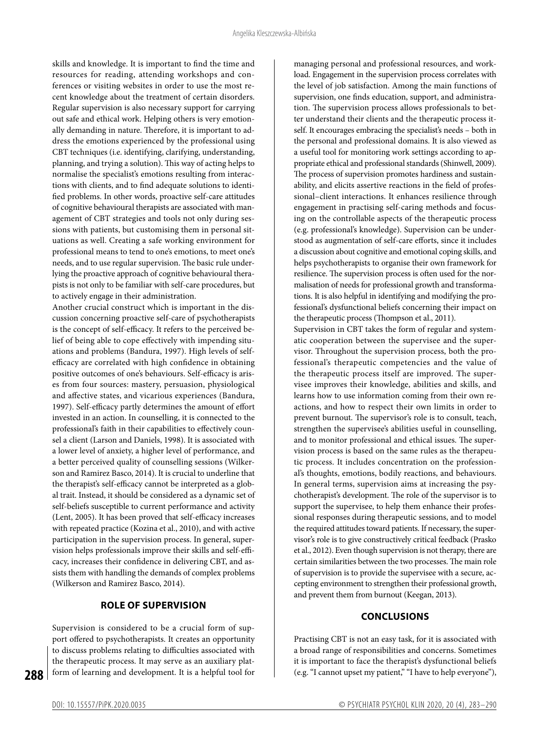skills and knowledge. It is important to find the time and resources for reading, attending workshops and conferences or visiting websites in order to use the most recent knowledge about the treatment of certain disorders. Regular supervision is also necessary support for carrying out safe and ethical work. Helping others is very emotionally demanding in nature. Therefore, it is important to address the emotions experienced by the professional using CBT techniques (i.e. identifying, clarifying, understanding, planning, and trying a solution). This way of acting helps to normalise the specialist's emotions resulting from interactions with clients, and to find adequate solutions to identified problems. In other words, proactive self-care attitudes of cognitive behavioural therapists are associated with management of CBT strategies and tools not only during sessions with patients, but customising them in personal situations as well. Creating a safe working environment for professional means to tend to one's emotions, to meet one's needs, and to use regular supervision. The basic rule underlying the proactive approach of cognitive behavioural therapists is not only to be familiar with self-care procedures, but to actively engage in their administration.

Another crucial construct which is important in the discussion concerning proactive self-care of psychotherapists is the concept of self-efficacy. It refers to the perceived belief of being able to cope effectively with impending situations and problems (Bandura, 1997). High levels of selfefficacy are correlated with high confidence in obtaining positive outcomes of one's behaviours. Self-efficacy is arises from four sources: mastery, persuasion, physiological and affective states, and vicarious experiences (Bandura, 1997). Self-efficacy partly determines the amount of effort invested in an action. In counselling, it is connected to the professional's faith in their capabilities to effectively counsel a client (Larson and Daniels, 1998). It is associated with a lower level of anxiety, a higher level of performance, and a better perceived quality of counselling sessions (Wilkerson and Ramirez Basco, 2014). It is crucial to underline that the therapist's self-efficacy cannot be interpreted as a global trait. Instead, it should be considered as a dynamic set of self-beliefs susceptible to current performance and activity (Lent, 2005). It has been proved that self-efficacy increases with repeated practice (Kozina et al., 2010), and with active participation in the supervision process. In general, supervision helps professionals improve their skills and self-efficacy, increases their confidence in delivering CBT, and assists them with handling the demands of complex problems (Wilkerson and Ramirez Basco, 2014).

## **ROLE OF SUPERVISION**

Supervision is considered to be a crucial form of support offered to psychotherapists. It creates an opportunity to discuss problems relating to difficulties associated with the therapeutic process. It may serve as an auxiliary platform of learning and development. It is a helpful tool for managing personal and professional resources, and workload. Engagement in the supervision process correlates with the level of job satisfaction. Among the main functions of supervision, one finds education, support, and administration. The supervision process allows professionals to better understand their clients and the therapeutic process itself. It encourages embracing the specialist's needs – both in the personal and professional domains. It is also viewed as a useful tool for monitoring work settings according to appropriate ethical and professional standards (Shinwell, 2009). The process of supervision promotes hardiness and sustainability, and elicits assertive reactions in the field of professional–client interactions. It enhances resilience through engagement in practising self-caring methods and focusing on the controllable aspects of the therapeutic process (e.g. professional's knowledge). Supervision can be understood as augmentation of self-care efforts, since it includes a discussion about cognitive and emotional coping skills, and helps psychotherapists to organise their own framework for resilience. The supervision process is often used for the normalisation of needs for professional growth and transformations. It is also helpful in identifying and modifying the professional's dysfunctional beliefs concerning their impact on the therapeutic process (Thompson et al., 2011).

Supervision in CBT takes the form of regular and systematic cooperation between the supervisee and the supervisor. Throughout the supervision process, both the professional's therapeutic competencies and the value of the therapeutic process itself are improved. The supervisee improves their knowledge, abilities and skills, and learns how to use information coming from their own reactions, and how to respect their own limits in order to prevent burnout. The supervisor's role is to consult, teach, strengthen the supervisee's abilities useful in counselling, and to monitor professional and ethical issues. The supervision process is based on the same rules as the therapeutic process. It includes concentration on the professional's thoughts, emotions, bodily reactions, and behaviours. In general terms, supervision aims at increasing the psychotherapist's development. The role of the supervisor is to support the supervisee, to help them enhance their professional responses during therapeutic sessions, and to model the required attitudes toward patients. If necessary, the supervisor's role is to give constructively critical feedback (Prasko et al., 2012). Even though supervision is not therapy, there are certain similarities between the two processes. The main role of supervision is to provide the supervisee with a secure, accepting environment to strengthen their professional growth, and prevent them from burnout (Keegan, 2013).

#### **CONCLUSIONS**

Practising CBT is not an easy task, for it is associated with a broad range of responsibilities and concerns. Sometimes it is important to face the therapist's dysfunctional beliefs (e.g. "I cannot upset my patient," "I have to help everyone"),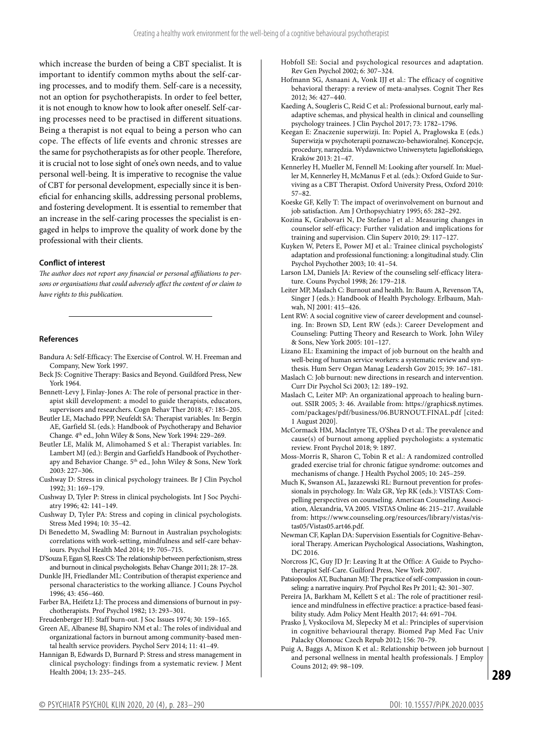which increase the burden of being a CBT specialist. It is important to identify common myths about the self-caring processes, and to modify them. Self-care is a necessity, not an option for psychotherapists. In order to feel better, it is not enough to know how to look after oneself. Self-caring processes need to be practised in different situations. Being a therapist is not equal to being a person who can cope. The effects of life events and chronic stresses are the same for psychotherapists as for other people. Therefore, it is crucial not to lose sight of one's own needs, and to value personal well-being. It is imperative to recognise the value of CBT for personal development, especially since it is beneficial for enhancing skills, addressing personal problems, and fostering development. It is essential to remember that an increase in the self-caring processes the specialist is engaged in helps to improve the quality of work done by the professional with their clients.

#### **Conflict of interest**

*The author does not report any financial or personal affiliations to persons or organisations that could adversely affect the content of or claim to have rights to this publication.*

#### **References**

- Bandura A: Self-Efficacy: The Exercise of Control. W. H. Freeman and Company, New York 1997.
- Beck JS: Cognitive Therapy: Basics and Beyond. Guildford Press, New York 1964.
- Bennett-Levy J, Finlay-Jones A: The role of personal practice in therapist skill development: a model to guide therapists, educators, supervisors and researchers. Cogn Behav Ther 2018; 47: 185–205.
- Beutler LE, Machado PPP, Neufeldt SA: Therapist variables. In: Bergin AE, Garfield SL (eds.): Handbook of Psychotherapy and Behavior Change. 4<sup>th</sup> ed., John Wiley & Sons, New York 1994: 229-269.
- Beutler LE, Malik M, Alimohamed S et al.: Therapist variables. In: Lambert MJ (ed.): Bergin and Garfield's Handbook of Psychotherapy and Behavior Change. 5<sup>th</sup> ed., John Wiley & Sons, New York 2003: 227–306.
- Cushway D: Stress in clinical psychology trainees. Br J Clin Psychol 1992; 31: 169–179.
- Cushway D, Tyler P: Stress in clinical psychologists. Int J Soc Psychiatry 1996; 42: 141–149.
- Cushway D, Tyler PA: Stress and coping in clinical psychologists. Stress Med 1994; 10: 35–42.
- Di Benedetto M, Swadling M: Burnout in Australian psychologists: correlations with work-setting, mindfulness and self-care behaviours. Psychol Health Med 2014; 19: 705–715.
- D'Souza F, Egan SJ, Rees CS: The relationship between perfectionism, stress and burnout in clinical psychologists. Behav Change 2011; 28: 17–28.
- Dunkle JH, Friedlander ML: Contribution of therapist experience and personal characteristics to the working alliance. J Couns Psychol 1996; 43: 456–460.
- Farber BA, Heifetz LJ: The process and dimensions of burnout in psychotherapists. Prof Psychol 1982; 13: 293–301.
- Freudenberger HJ: Staff burn-out. J Soc Issues 1974; 30: 159–165.
- Green AE, Albanese BJ, Shapiro NM et al.: The roles of individual and organizational factors in burnout among community-based mental health service providers. Psychol Serv 2014; 11: 41–49.
- Hannigan B, Edwards D, Burnard P: Stress and stress management in clinical psychology: findings from a systematic review. J Ment Health 2004; 13: 235–245.
- Hobfoll SE: Social and psychological resources and adaptation. Rev Gen Psychol 2002; 6: 307–324.
- Hofmann SG, Asnaani A, Vonk IJJ et al.: The efficacy of cognitive behavioral therapy: a review of meta-analyses. Cognit Ther Res 2012; 36: 427–440.
- Kaeding A, Sougleris C, Reid C et al.: Professional burnout, early maladaptive schemas, and physical health in clinical and counselling psychology trainees. J Clin Psychol 2017; 73: 1782–1796.
- Keegan E: Znaczenie superwizji. In: Popiel A, Pragłowska E (eds.) Superwizja w psychoterapii poznawczo-behawioralnej. Koncepcje, procedury, narzędzia. Wydawnictwo Uniwersytetu Jagiellońskiego, Kraków 2013: 21–47.
- Kennerley H, Mueller M, Fennell M: Looking after yourself. In: Mueller M, Kennerley H, McManus F et al. (eds.): Oxford Guide to Surviving as a CBT Therapist. Oxford University Press, Oxford 2010: 57–82.
- Koeske GF, Kelly T: The impact of overinvolvement on burnout and job satisfaction. Am J Orthopsychiatry 1995; 65: 282–292.
- Kozina K, Grabovari N, De Stefano J et al.: Measuring changes in counselor self-efficacy: Further validation and implications for training and supervision. Clin Superv 2010; 29: 117–127.
- Kuyken W, Peters E, Power MJ et al.: Trainee clinical psychologists' adaptation and professional functioning: a longitudinal study. Clin Psychol Psychother 2003; 10: 41–54.
- Larson LM, Daniels JA: Review of the counseling self-efficacy literature. Couns Psychol 1998; 26: 179–218.
- Leiter MP, Maslach C: Burnout and health. In: Baum A, Revenson TA, Singer J (eds.): Handbook of Health Psychology. Erlbaum, Mahwah, NJ 2001: 415–426.
- Lent RW: A social cognitive view of career development and counseling. In: Brown SD, Lent RW (eds.): Career Development and Counseling: Putting Theory and Research to Work. John Wiley & Sons, New York 2005: 101–127.
- Lizano EL: Examining the impact of job burnout on the health and well-being of human service workers: a systematic review and synthesis. Hum Serv Organ Manag Leadersh Gov 2015; 39: 167–181.
- Maslach C: Job burnout: new directions in research and intervention. Curr Dir Psychol Sci 2003; 12: 189–192.
- Maslach C, Leiter MP: An organizational approach to healing burnout. SSIR 2005; 3: 46. Available from: https://graphics8.nytimes. com/packages/pdf/business/06.BURNOUT.FINAL.pdf [cited: 1 August 2020].
- McCormack HM, MacIntyre TE, O'Shea D et al.: The prevalence and cause(s) of burnout among applied psychologists: a systematic review. Front Psychol 2018; 9: 1897.
- Moss-Morris R, Sharon C, Tobin R et al.: A randomized controlled graded exercise trial for chronic fatigue syndrome: outcomes and mechanisms of change. J Health Psychol 2005; 10: 245–259.
- Much K, Swanson AL, Jazazewski RL: Burnout prevention for professionals in psychology. In: Walz GR, Yep RK (eds.): VISTAS: Compelling perspectives on counseling. American Counseling Association, Alexandria, VA 2005. VISTAS Online 46: 215–217. Available from: https://www.counseling.org/resources/library/vistas/vistas05/Vistas05.art46.pdf.
- Newman CF, Kaplan DA: Supervision Essentials for Cognitive-Behavioral Therapy. American Psychological Associations, Washington, DC 2016.
- Norcross JC, Guy JD Jr: Leaving It at the Office: A Guide to Psychotherapist Self-Care. Guilford Press, New York 2007.
- Patsiopoulos AT, Buchanan MJ: The practice of self-compassion in counseling: a narrative inquiry. Prof Psychol Res Pr 2011; 42: 301–307.
- Pereira JA, Barkham M, Kellett S et al.: The role of practitioner resilience and mindfulness in effective practice: a practice-based feasibility study. Adm Policy Ment Health 2017; 44: 691–704.
- Prasko J, Vyskocilova M, Slepecky M et al.: Principles of supervision in cognitive behavioural therapy. Biomed Pap Med Fac Univ Palacky Olomouc Czech Repub 2012; 156: 70–79.
- Puig A, Baggs A, Mixon K et al.: Relationship between job burnout and personal wellness in mental health professionals. J Employ Couns 2012; 49: 98–109.